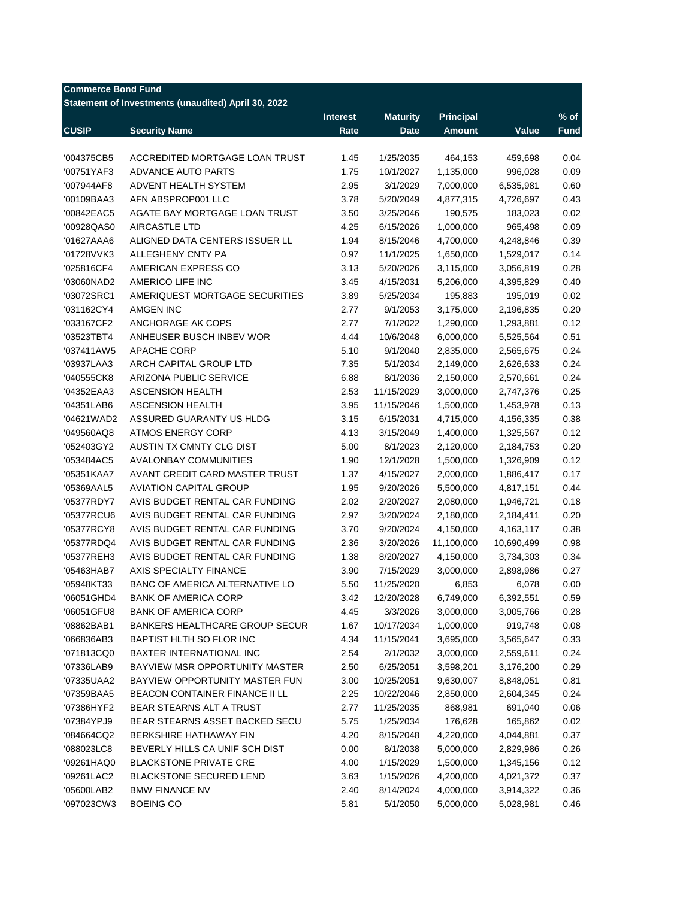| <b>Commerce Bond Fund</b> |                                                     |                 |                 |                  |            |             |
|---------------------------|-----------------------------------------------------|-----------------|-----------------|------------------|------------|-------------|
|                           | Statement of Investments (unaudited) April 30, 2022 |                 |                 |                  |            |             |
|                           |                                                     | <b>Interest</b> | <b>Maturity</b> | <b>Principal</b> |            | $%$ of      |
| <b>CUSIP</b>              | <b>Security Name</b>                                | Rate            | <b>Date</b>     | <b>Amount</b>    | Value      | <b>Fund</b> |
|                           |                                                     |                 |                 |                  |            |             |
| '004375CB5                | ACCREDITED MORTGAGE LOAN TRUST                      | 1.45            | 1/25/2035       | 464,153          | 459,698    | 0.04        |
| '00751YAF3                | <b>ADVANCE AUTO PARTS</b>                           | 1.75            | 10/1/2027       | 1,135,000        | 996,028    | 0.09        |
| '007944AF8                | ADVENT HEALTH SYSTEM                                | 2.95            | 3/1/2029        | 7,000,000        | 6,535,981  | 0.60        |
| '00109BAA3                | AFN ABSPROP001 LLC                                  | 3.78            | 5/20/2049       | 4,877,315        | 4,726,697  | 0.43        |
| '00842EAC5                | AGATE BAY MORTGAGE LOAN TRUST                       | 3.50            | 3/25/2046       | 190,575          | 183,023    | 0.02        |
| '00928QAS0                | <b>AIRCASTLE LTD</b>                                | 4.25            | 6/15/2026       | 1,000,000        | 965,498    | 0.09        |
| '01627AAA6                | ALIGNED DATA CENTERS ISSUER LL                      | 1.94            | 8/15/2046       | 4,700,000        | 4,248,846  | 0.39        |
| '01728VVK3                | ALLEGHENY CNTY PA                                   | 0.97            | 11/1/2025       | 1,650,000        | 1,529,017  | 0.14        |
| '025816CF4                | AMERICAN EXPRESS CO                                 | 3.13            | 5/20/2026       | 3,115,000        | 3,056,819  | 0.28        |
| '03060NAD2                | AMERICO LIFE INC                                    | 3.45            | 4/15/2031       | 5,206,000        | 4,395,829  | 0.40        |
| '03072SRC1                | AMERIQUEST MORTGAGE SECURITIES                      | 3.89            | 5/25/2034       | 195,883          | 195,019    | 0.02        |
| '031162CY4                | <b>AMGEN INC</b>                                    | 2.77            | 9/1/2053        | 3,175,000        | 2,196,835  | 0.20        |
| '033167CF2                | ANCHORAGE AK COPS                                   | 2.77            | 7/1/2022        | 1,290,000        | 1,293,881  | 0.12        |
| '03523TBT4                | ANHEUSER BUSCH INBEV WOR                            | 4.44            | 10/6/2048       | 6,000,000        | 5,525,564  | 0.51        |
| '037411AW5                | <b>APACHE CORP</b>                                  | 5.10            | 9/1/2040        | 2,835,000        | 2,565,675  | 0.24        |
| '03937LAA3                | ARCH CAPITAL GROUP LTD                              | 7.35            | 5/1/2034        | 2,149,000        | 2,626,633  | 0.24        |
| '040555CK8                | ARIZONA PUBLIC SERVICE                              | 6.88            | 8/1/2036        | 2,150,000        | 2,570,661  | 0.24        |
| '04352EAA3                | <b>ASCENSION HEALTH</b>                             | 2.53            | 11/15/2029      | 3,000,000        | 2,747,376  | 0.25        |
| '04351LAB6                | <b>ASCENSION HEALTH</b>                             | 3.95            | 11/15/2046      | 1,500,000        | 1,453,978  | 0.13        |
| '04621WAD2                | ASSURED GUARANTY US HLDG                            | 3.15            | 6/15/2031       | 4,715,000        | 4,156,335  | 0.38        |
| '049560AQ8                | <b>ATMOS ENERGY CORP</b>                            | 4.13            | 3/15/2049       | 1,400,000        | 1,325,567  | 0.12        |
| '052403GY2                | AUSTIN TX CMNTY CLG DIST                            | 5.00            | 8/1/2023        | 2,120,000        | 2,184,753  | 0.20        |
| '053484AC5                | <b>AVALONBAY COMMUNITIES</b>                        | 1.90            | 12/1/2028       | 1,500,000        | 1,326,909  | 0.12        |
| '05351KAA7                | AVANT CREDIT CARD MASTER TRUST                      | 1.37            | 4/15/2027       | 2,000,000        | 1,886,417  | 0.17        |
| '05369AAL5                | <b>AVIATION CAPITAL GROUP</b>                       | 1.95            | 9/20/2026       | 5,500,000        | 4,817,151  | 0.44        |
| '05377RDY7                | AVIS BUDGET RENTAL CAR FUNDING                      | 2.02            | 2/20/2027       | 2,080,000        | 1,946,721  | 0.18        |
| '05377RCU6                | AVIS BUDGET RENTAL CAR FUNDING                      | 2.97            | 3/20/2024       | 2,180,000        | 2,184,411  | 0.20        |
| '05377RCY8                | AVIS BUDGET RENTAL CAR FUNDING                      | 3.70            | 9/20/2024       | 4,150,000        | 4,163,117  | 0.38        |
| '05377RDQ4                | AVIS BUDGET RENTAL CAR FUNDING                      | 2.36            | 3/20/2026       | 11,100,000       | 10,690,499 | 0.98        |
| '05377REH3                | AVIS BUDGET RENTAL CAR FUNDING                      | 1.38            | 8/20/2027       | 4,150,000        | 3,734,303  | 0.34        |
| '05463HAB7                | AXIS SPECIALTY FINANCE                              | 3.90            | 7/15/2029       | 3,000,000        | 2,898,986  | 0.27        |
| '05948KT33                | BANC OF AMERICA ALTERNATIVE LO                      | 5.50            | 11/25/2020      | 6,853            | 6,078      | 0.00        |
|                           |                                                     |                 |                 |                  |            |             |
| '06051GHD4                | <b>BANK OF AMERICA CORP</b>                         | 3.42            | 12/20/2028      | 6,749,000        | 6,392,551  | 0.59        |
| '06051GFU8                | <b>BANK OF AMERICA CORP</b>                         | 4.45            | 3/3/2026        | 3,000,000        | 3,005,766  | 0.28        |
| '08862BAB1                | <b>BANKERS HEALTHCARE GROUP SECUR</b>               | 1.67            | 10/17/2034      | 1,000,000        | 919,748    | 0.08        |
| '066836AB3                | BAPTIST HLTH SO FLOR INC                            | 4.34            | 11/15/2041      | 3,695,000        | 3,565,647  | 0.33        |
| '071813CQ0                | <b>BAXTER INTERNATIONAL INC</b>                     | 2.54            | 2/1/2032        | 3,000,000        | 2,559,611  | 0.24        |
| '07336LAB9                | <b>BAYVIEW MSR OPPORTUNITY MASTER</b>               | 2.50            | 6/25/2051       | 3,598,201        | 3,176,200  | 0.29        |
| '07335UAA2                | BAYVIEW OPPORTUNITY MASTER FUN                      | 3.00            | 10/25/2051      | 9,630,007        | 8,848,051  | 0.81        |
| '07359BAA5                | BEACON CONTAINER FINANCE II LL                      | 2.25            | 10/22/2046      | 2,850,000        | 2,604,345  | 0.24        |
| '07386HYF2                | BEAR STEARNS ALT A TRUST                            | 2.77            | 11/25/2035      | 868,981          | 691,040    | 0.06        |
| '07384YPJ9                | BEAR STEARNS ASSET BACKED SECU                      | 5.75            | 1/25/2034       | 176,628          | 165,862    | 0.02        |
| '084664CQ2                | BERKSHIRE HATHAWAY FIN                              | 4.20            | 8/15/2048       | 4,220,000        | 4,044,881  | 0.37        |
| '088023LC8                | BEVERLY HILLS CA UNIF SCH DIST                      | 0.00            | 8/1/2038        | 5,000,000        | 2,829,986  | 0.26        |
| '09261HAQ0                | <b>BLACKSTONE PRIVATE CRE</b>                       | 4.00            | 1/15/2029       | 1,500,000        | 1,345,156  | 0.12        |
| '09261LAC2                | <b>BLACKSTONE SECURED LEND</b>                      | 3.63            | 1/15/2026       | 4,200,000        | 4,021,372  | 0.37        |
| '05600LAB2                | <b>BMW FINANCE NV</b>                               | 2.40            | 8/14/2024       | 4,000,000        | 3,914,322  | 0.36        |
| '097023CW3                | <b>BOEING CO</b>                                    | 5.81            | 5/1/2050        | 5,000,000        | 5,028,981  | 0.46        |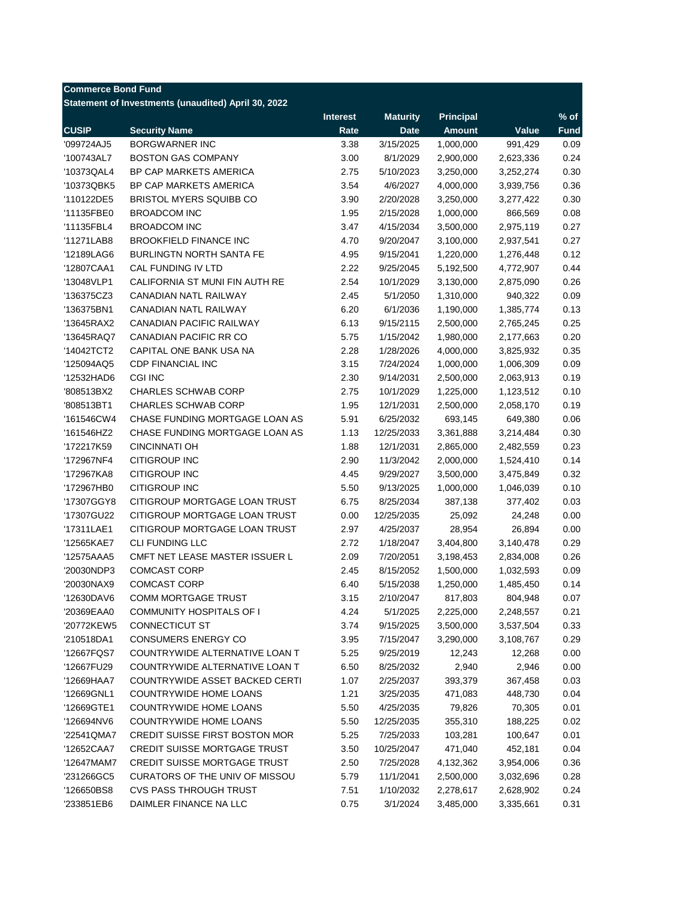| <b>Commerce Bond Fund</b> | Statement of Investments (unaudited) April 30, 2022 |                 |                 |                  |           |             |
|---------------------------|-----------------------------------------------------|-----------------|-----------------|------------------|-----------|-------------|
|                           |                                                     | <b>Interest</b> | <b>Maturity</b> | <b>Principal</b> |           | $%$ of      |
| <b>CUSIP</b>              | <b>Security Name</b>                                | Rate            | <b>Date</b>     | <b>Amount</b>    | Value     | <b>Fund</b> |
| '099724AJ5                | <b>BORGWARNER INC</b>                               | 3.38            | 3/15/2025       | 1,000,000        | 991,429   | 0.09        |
| '100743AL7                | <b>BOSTON GAS COMPANY</b>                           | 3.00            | 8/1/2029        | 2,900,000        | 2,623,336 | 0.24        |
| '10373QAL4                | BP CAP MARKETS AMERICA                              | 2.75            | 5/10/2023       | 3,250,000        | 3,252,274 | 0.30        |
| '10373QBK5                | BP CAP MARKETS AMERICA                              | 3.54            | 4/6/2027        | 4,000,000        | 3,939,756 | 0.36        |
| '110122DE5                | BRISTOL MYERS SQUIBB CO                             | 3.90            | 2/20/2028       | 3,250,000        | 3,277,422 | 0.30        |
| '11135FBE0                | <b>BROADCOM INC</b>                                 | 1.95            | 2/15/2028       | 1,000,000        | 866,569   | 0.08        |
| '11135FBL4                | <b>BROADCOM INC</b>                                 | 3.47            | 4/15/2034       | 3,500,000        | 2,975,119 | 0.27        |
| '11271LAB8                | <b>BROOKFIELD FINANCE INC</b>                       | 4.70            | 9/20/2047       | 3,100,000        | 2,937,541 | 0.27        |
| '12189LAG6                | <b>BURLINGTN NORTH SANTA FE</b>                     | 4.95            | 9/15/2041       | 1,220,000        | 1,276,448 | 0.12        |
| '12807CAA1                | CAL FUNDING IV LTD                                  | 2.22            | 9/25/2045       | 5,192,500        | 4,772,907 | 0.44        |
| '13048VLP1                | CALIFORNIA ST MUNI FIN AUTH RE                      | 2.54            | 10/1/2029       | 3,130,000        | 2,875,090 | 0.26        |
| '136375CZ3                | CANADIAN NATL RAILWAY                               | 2.45            | 5/1/2050        | 1,310,000        | 940,322   | 0.09        |
| '136375BN1                | CANADIAN NATL RAILWAY                               | 6.20            | 6/1/2036        | 1,190,000        | 1,385,774 | 0.13        |
| '13645RAX2                | <b>CANADIAN PACIFIC RAILWAY</b>                     | 6.13            | 9/15/2115       | 2,500,000        | 2,765,245 | 0.25        |
| '13645RAQ7                | CANADIAN PACIFIC RR CO                              | 5.75            | 1/15/2042       | 1,980,000        | 2,177,663 | 0.20        |
| '14042TCT2                | CAPITAL ONE BANK USA NA                             | 2.28            | 1/28/2026       | 4,000,000        | 3,825,932 | 0.35        |
| '125094AQ5                | <b>CDP FINANCIAL INC</b>                            | 3.15            | 7/24/2024       |                  |           | 0.09        |
|                           | <b>CGI INC</b>                                      |                 |                 | 1,000,000        | 1,006,309 |             |
| '12532HAD6<br>'808513BX2  | <b>CHARLES SCHWAB CORP</b>                          | 2.30            | 9/14/2031       | 2,500,000        | 2,063,913 | 0.19        |
|                           |                                                     | 2.75            | 10/1/2029       | 1,225,000        | 1,123,512 | 0.10        |
| '808513BT1                | <b>CHARLES SCHWAB CORP</b>                          | 1.95            | 12/1/2031       | 2,500,000        | 2,058,170 | 0.19        |
| '161546CW4                | CHASE FUNDING MORTGAGE LOAN AS                      | 5.91            | 6/25/2032       | 693,145          | 649,380   | 0.06        |
| '161546HZ2                | CHASE FUNDING MORTGAGE LOAN AS                      | 1.13            | 12/25/2033      | 3,361,888        | 3,214,484 | 0.30        |
| '172217K59                | <b>CINCINNATI OH</b>                                | 1.88            | 12/1/2031       | 2,865,000        | 2,482,559 | 0.23        |
| '172967NF4                | <b>CITIGROUP INC</b>                                | 2.90            | 11/3/2042       | 2,000,000        | 1,524,410 | 0.14        |
| '172967KA8                | <b>CITIGROUP INC</b>                                | 4.45            | 9/29/2027       | 3,500,000        | 3,475,849 | 0.32        |
| '172967HB0                | <b>CITIGROUP INC</b>                                | 5.50            | 9/13/2025       | 1,000,000        | 1,046,039 | 0.10        |
| '17307GGY8                | CITIGROUP MORTGAGE LOAN TRUST                       | 6.75            | 8/25/2034       | 387,138          | 377,402   | 0.03        |
| '17307GU22                | CITIGROUP MORTGAGE LOAN TRUST                       | 0.00            | 12/25/2035      | 25,092           | 24,248    | 0.00        |
| '17311LAE1                | CITIGROUP MORTGAGE LOAN TRUST                       | 2.97            | 4/25/2037       | 28,954           | 26,894    | 0.00        |
| '12565KAE7                | <b>CLI FUNDING LLC</b>                              | 2.72            | 1/18/2047       | 3,404,800        | 3,140,478 | 0.29        |
| '12575AAA5                | <b>CMFT NET LEASE MASTER ISSUER L</b>               | 2.09            | 7/20/2051       | 3,198,453        | 2,834,008 | 0.26        |
| '20030NDP3                | <b>COMCAST CORP</b>                                 | 2.45            | 8/15/2052       | 1,500,000        | 1,032,593 | 0.09        |
| '20030NAX9                | <b>COMCAST CORP</b>                                 | 6.40            | 5/15/2038       | 1,250,000        | 1.485.450 | 0.14        |
| '12630DAV6                | <b>COMM MORTGAGE TRUST</b>                          | 3.15            | 2/10/2047       | 817,803          | 804,948   | 0.07        |
| '20369EAA0                | <b>COMMUNITY HOSPITALS OF I</b>                     | 4.24            | 5/1/2025        | 2,225,000        | 2,248,557 | 0.21        |
| '20772KEW5                | <b>CONNECTICUT ST</b>                               | 3.74            | 9/15/2025       | 3,500,000        | 3,537,504 | 0.33        |
| '210518DA1                | CONSUMERS ENERGY CO                                 | 3.95            | 7/15/2047       | 3,290,000        | 3,108,767 | 0.29        |
| '12667FQS7                | COUNTRYWIDE ALTERNATIVE LOAN T                      | 5.25            | 9/25/2019       | 12,243           | 12,268    | 0.00        |
| '12667FU29                | COUNTRYWIDE ALTERNATIVE LOAN T                      | 6.50            | 8/25/2032       | 2,940            | 2,946     | 0.00        |
| '12669HAA7                | COUNTRYWIDE ASSET BACKED CERTI                      | 1.07            | 2/25/2037       | 393,379          | 367,458   | 0.03        |
| '12669GNL1                | COUNTRYWIDE HOME LOANS                              | 1.21            | 3/25/2035       | 471,083          | 448,730   | 0.04        |
| '12669GTE1                | COUNTRYWIDE HOME LOANS                              | 5.50            | 4/25/2035       | 79,826           | 70,305    | 0.01        |
| '126694NV6                | COUNTRYWIDE HOME LOANS                              | 5.50            | 12/25/2035      | 355,310          | 188,225   | 0.02        |
| '22541QMA7                | CREDIT SUISSE FIRST BOSTON MOR                      | 5.25            | 7/25/2033       | 103,281          | 100,647   | 0.01        |
| '12652CAA7                | <b>CREDIT SUISSE MORTGAGE TRUST</b>                 | 3.50            | 10/25/2047      | 471,040          | 452,181   | 0.04        |
| '12647MAM7                | <b>CREDIT SUISSE MORTGAGE TRUST</b>                 | 2.50            | 7/25/2028       | 4,132,362        | 3,954,006 | 0.36        |
| '231266GC5                | CURATORS OF THE UNIV OF MISSOU                      | 5.79            | 11/1/2041       | 2,500,000        | 3,032,696 | 0.28        |
| '126650BS8                | <b>CVS PASS THROUGH TRUST</b>                       | 7.51            | 1/10/2032       | 2,278,617        | 2,628,902 | 0.24        |
| '233851EB6                | DAIMLER FINANCE NA LLC                              | 0.75            | 3/1/2024        | 3,485,000        | 3,335,661 | 0.31        |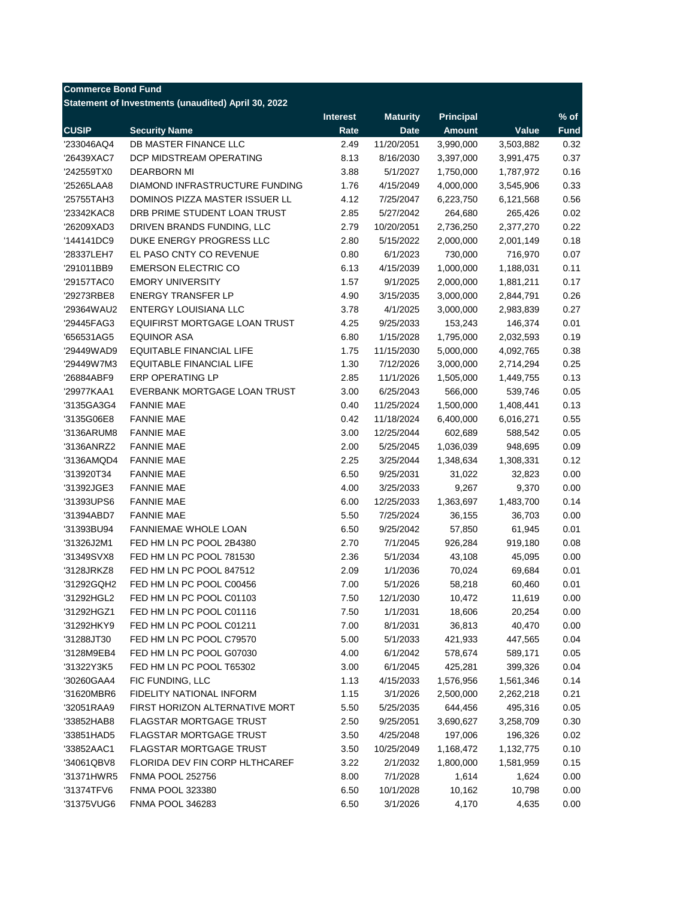| <b>Commerce Bond Fund</b> |                                                     |                 |                         |                  |                 |              |
|---------------------------|-----------------------------------------------------|-----------------|-------------------------|------------------|-----------------|--------------|
|                           | Statement of Investments (unaudited) April 30, 2022 |                 |                         |                  |                 |              |
|                           |                                                     | <b>Interest</b> | <b>Maturity</b>         | <b>Principal</b> |                 | $%$ of       |
| <b>CUSIP</b>              | <b>Security Name</b>                                | Rate            | <b>Date</b>             | <b>Amount</b>    | Value           | <b>Fund</b>  |
| '233046AQ4                | DB MASTER FINANCE LLC                               | 2.49            | 11/20/2051              | 3,990,000        | 3,503,882       | 0.32         |
| '26439XAC7                | DCP MIDSTREAM OPERATING                             | 8.13            | 8/16/2030               | 3,397,000        | 3,991,475       | 0.37         |
| '242559TX0                | <b>DEARBORN MI</b>                                  | 3.88            | 5/1/2027                | 1,750,000        | 1,787,972       | 0.16         |
| '25265LAA8                | DIAMOND INFRASTRUCTURE FUNDING                      | 1.76            | 4/15/2049               | 4,000,000        | 3,545,906       | 0.33         |
| '25755TAH3                | DOMINOS PIZZA MASTER ISSUER LL                      | 4.12            | 7/25/2047               | 6,223,750        | 6,121,568       | 0.56         |
| '23342KAC8                | DRB PRIME STUDENT LOAN TRUST                        | 2.85            | 5/27/2042               | 264,680          | 265,426         | 0.02         |
| '26209XAD3                | DRIVEN BRANDS FUNDING, LLC                          | 2.79            | 10/20/2051              | 2,736,250        | 2,377,270       | 0.22         |
| '144141DC9                | DUKE ENERGY PROGRESS LLC                            | 2.80            | 5/15/2022               | 2,000,000        | 2,001,149       | 0.18         |
| '28337LEH7                | EL PASO CNTY CO REVENUE                             | 0.80            | 6/1/2023                | 730,000          | 716,970         | 0.07         |
| '291011BB9                | <b>EMERSON ELECTRIC CO</b>                          | 6.13            | 4/15/2039               | 1,000,000        | 1,188,031       | 0.11         |
| '29157TAC0                | <b>EMORY UNIVERSITY</b>                             | 1.57            | 9/1/2025                | 2,000,000        | 1,881,211       | 0.17         |
| '29273RBE8                | <b>ENERGY TRANSFER LP</b>                           | 4.90            | 3/15/2035               | 3,000,000        | 2,844,791       | 0.26         |
| '29364WAU2                | <b>ENTERGY LOUISIANA LLC</b>                        | 3.78            | 4/1/2025                | 3,000,000        | 2,983,839       | 0.27         |
| '29445FAG3                | EQUIFIRST MORTGAGE LOAN TRUST                       | 4.25            | 9/25/2033               | 153,243          | 146,374         | 0.01         |
| '656531AG5                | <b>EQUINOR ASA</b>                                  | 6.80            | 1/15/2028               | 1,795,000        | 2,032,593       | 0.19         |
| '29449WAD9                | <b>EQUITABLE FINANCIAL LIFE</b>                     | 1.75            | 11/15/2030              | 5,000,000        | 4,092,765       | 0.38         |
| '29449W7M3                | <b>EQUITABLE FINANCIAL LIFE</b>                     | 1.30            | 7/12/2026               | 3,000,000        | 2,714,294       | 0.25         |
| '26884ABF9                | ERP OPERATING LP                                    | 2.85            | 11/1/2026               | 1,505,000        | 1,449,755       | 0.13         |
| '29977KAA1                | EVERBANK MORTGAGE LOAN TRUST                        | 3.00            | 6/25/2043               | 566,000          | 539,746         | 0.05         |
| '3135GA3G4                | <b>FANNIE MAE</b>                                   | 0.40            | 11/25/2024              | 1,500,000        | 1,408,441       | 0.13         |
| '3135G06E8                | <b>FANNIE MAE</b>                                   | 0.42            | 11/18/2024              | 6,400,000        | 6,016,271       | 0.55         |
| '3136ARUM8                | <b>FANNIE MAE</b>                                   | 3.00            | 12/25/2044              | 602,689          | 588,542         | 0.05         |
| '3136ANRZ2                | <b>FANNIE MAE</b>                                   | 2.00            | 5/25/2045               | 1,036,039        | 948,695         | 0.09         |
| '3136AMQD4                | <b>FANNIE MAE</b>                                   | 2.25            | 3/25/2044               | 1,348,634        | 1,308,331       | 0.12         |
| '313920T34                | <b>FANNIE MAE</b>                                   | 6.50            | 9/25/2031               | 31,022           | 32,823          | 0.00         |
| '31392JGE3                | <b>FANNIE MAE</b>                                   | 4.00            | 3/25/2033               | 9,267            | 9,370           | 0.00         |
| '31393UPS6                | <b>FANNIE MAE</b>                                   | 6.00            | 12/25/2033              | 1,363,697        | 1,483,700       | 0.14         |
| '31394ABD7                | <b>FANNIE MAE</b>                                   | 5.50            | 7/25/2024               | 36,155           | 36,703          | 0.00         |
| '31393BU94                | FANNIEMAE WHOLE LOAN                                | 6.50            | 9/25/2042               | 57,850           | 61,945          | 0.01         |
| '31326J2M1                | FED HM LN PC POOL 2B4380                            | 2.70            | 7/1/2045                | 926,284          | 919,180         | 0.08         |
| '31349SVX8                | FED HM LN PC POOL 781530                            | 2.36            | 5/1/2034                | 43,108           | 45,095          | 0.00         |
| '3128JRKZ8                | FED HM LN PC POOL 847512                            | 2.09            | 1/1/2036                | 70,024           | 69,684          | 0.01         |
| '31292GQH2                | FED HM LN PC POOL C00456                            | 7.00            | 5/1/2026                | 58,218           | 60,460          | 0.01         |
| '31292HGL2                | FED HM LN PC POOL C01103                            | 7.50            | 12/1/2030               | 10,472           | 11,619          | 0.00         |
| '31292HGZ1                | FED HM LN PC POOL C01116                            | 7.50            | 1/1/2031                | 18,606           | 20,254          | 0.00         |
| '31292HKY9                | FED HM LN PC POOL C01211                            | 7.00            | 8/1/2031                | 36,813           | 40,470          | 0.00         |
| '31288JT30                | FED HM LN PC POOL C79570                            | 5.00            | 5/1/2033                | 421,933          | 447,565         | 0.04         |
| '3128M9EB4                | FED HM LN PC POOL G07030                            | 4.00            | 6/1/2042                | 578,674          | 589,171         | 0.05         |
| '31322Y3K5                | FED HM LN PC POOL T65302                            | 3.00            | 6/1/2045                | 425,281          | 399,326         | 0.04         |
| '30260GAA4                | FIC FUNDING, LLC                                    | 1.13            | 4/15/2033               | 1,576,956        | 1,561,346       | 0.14         |
| '31620MBR6                | FIDELITY NATIONAL INFORM                            | 1.15            | 3/1/2026                | 2,500,000        | 2,262,218       | 0.21         |
| '32051RAA9                | FIRST HORIZON ALTERNATIVE MORT                      | 5.50            |                         |                  |                 |              |
|                           | FLAGSTAR MORTGAGE TRUST                             | 2.50            | 5/25/2035<br>9/25/2051  | 644,456          | 495,316         | 0.05         |
| '33852HAB8                | FLAGSTAR MORTGAGE TRUST                             |                 |                         | 3,690,627        | 3,258,709       | 0.30         |
| '33851HAD5                | <b>FLAGSTAR MORTGAGE TRUST</b>                      | 3.50<br>3.50    | 4/25/2048<br>10/25/2049 | 197,006          | 196,326         | 0.02         |
| '33852AAC1                |                                                     |                 |                         | 1,168,472        | 1,132,775       | 0.10         |
| '34061QBV8                | FLORIDA DEV FIN CORP HLTHCAREF                      | 3.22            | 2/1/2032                | 1,800,000        | 1,581,959       | 0.15         |
| '31371HWR5<br>'31374TFV6  | <b>FNMA POOL 252756</b><br><b>FNMA POOL 323380</b>  | 8.00<br>6.50    | 7/1/2028                | 1,614            | 1,624           | 0.00         |
| '31375VUG6                | FNMA POOL 346283                                    | 6.50            | 10/1/2028<br>3/1/2026   | 10,162<br>4,170  | 10,798<br>4,635 | 0.00<br>0.00 |
|                           |                                                     |                 |                         |                  |                 |              |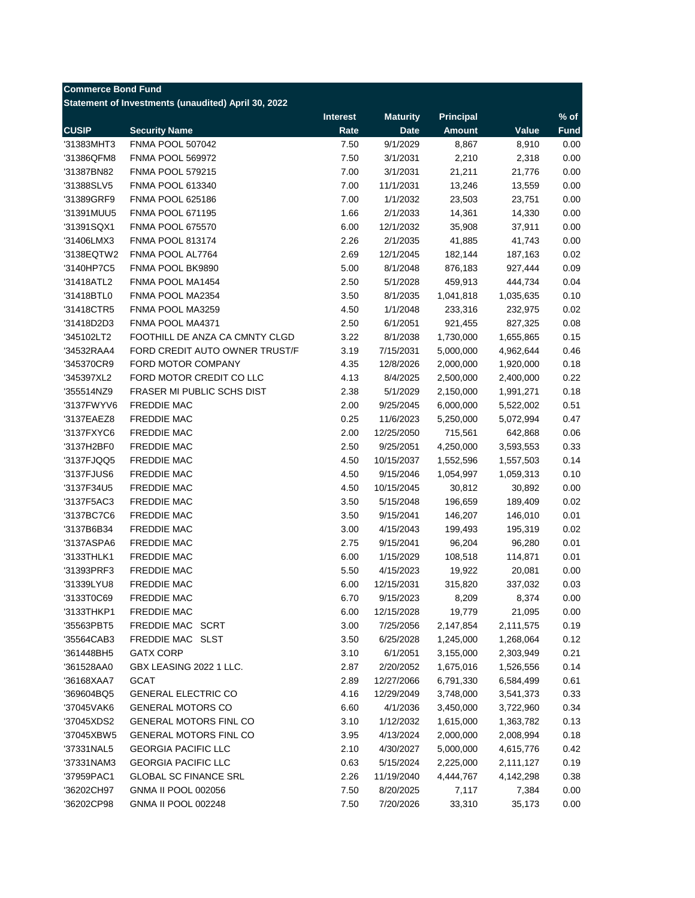| <b>Commerce Bond Fund</b> |                                                     |                 |                 |                        |                        |              |
|---------------------------|-----------------------------------------------------|-----------------|-----------------|------------------------|------------------------|--------------|
|                           | Statement of Investments (unaudited) April 30, 2022 |                 |                 |                        |                        |              |
|                           |                                                     | <b>Interest</b> | <b>Maturity</b> | <b>Principal</b>       |                        | $%$ of       |
| <b>CUSIP</b>              | <b>Security Name</b>                                | Rate            | <b>Date</b>     | <b>Amount</b>          | Value                  | <b>Fund</b>  |
| '31383MHT3                | <b>FNMA POOL 507042</b>                             | 7.50            | 9/1/2029        | 8,867                  | 8,910                  | 0.00         |
| '31386QFM8                | <b>FNMA POOL 569972</b>                             | 7.50            | 3/1/2031        | 2,210                  | 2,318                  | 0.00         |
| '31387BN82                | <b>FNMA POOL 579215</b>                             | 7.00            | 3/1/2031        | 21,211                 | 21,776                 | 0.00         |
| '31388SLV5                | <b>FNMA POOL 613340</b>                             | 7.00            | 11/1/2031       | 13,246                 | 13,559                 | 0.00         |
| '31389GRF9                | <b>FNMA POOL 625186</b>                             | 7.00            | 1/1/2032        | 23,503                 | 23,751                 | 0.00         |
| '31391MUU5                | <b>FNMA POOL 671195</b>                             | 1.66            | 2/1/2033        | 14,361                 | 14,330                 | 0.00         |
| '31391SQX1                | <b>FNMA POOL 675570</b>                             | 6.00            | 12/1/2032       | 35,908                 | 37,911                 | 0.00         |
| '31406LMX3                | <b>FNMA POOL 813174</b>                             | 2.26            | 2/1/2035        | 41,885                 | 41,743                 | 0.00         |
| '3138EQTW2                | FNMA POOL AL7764                                    | 2.69            | 12/1/2045       | 182,144                | 187,163                | 0.02         |
| '3140HP7C5                | FNMA POOL BK9890                                    | 5.00            | 8/1/2048        | 876,183                | 927,444                | 0.09         |
| '31418ATL2                | FNMA POOL MA1454                                    | 2.50            | 5/1/2028        | 459,913                | 444,734                | 0.04         |
| '31418BTL0                | FNMA POOL MA2354                                    | 3.50            | 8/1/2035        | 1,041,818              | 1,035,635              | 0.10         |
| '31418CTR5                | FNMA POOL MA3259                                    | 4.50            | 1/1/2048        | 233,316                | 232,975                | 0.02         |
| '31418D2D3                | FNMA POOL MA4371                                    | 2.50            | 6/1/2051        | 921,455                | 827,325                | 0.08         |
| '345102LT2                | FOOTHILL DE ANZA CA CMNTY CLGD                      | 3.22            | 8/1/2038        | 1,730,000              | 1,655,865              | 0.15         |
| '34532RAA4                | FORD CREDIT AUTO OWNER TRUST/F                      | 3.19            | 7/15/2031       | 5,000,000              | 4,962,644              | 0.46         |
| '345370CR9                | FORD MOTOR COMPANY                                  | 4.35            | 12/8/2026       | 2,000,000              | 1,920,000              | 0.18         |
| '345397XL2                | FORD MOTOR CREDIT CO LLC                            | 4.13            | 8/4/2025        | 2,500,000              | 2,400,000              | 0.22         |
| '355514NZ9                | <b>FRASER MI PUBLIC SCHS DIST</b>                   | 2.38            | 5/1/2029        | 2,150,000              | 1,991,271              | 0.18         |
| '3137FWYV6                | <b>FREDDIE MAC</b>                                  | 2.00            | 9/25/2045       | 6,000,000              | 5,522,002              | 0.51         |
| '3137EAEZ8                | <b>FREDDIE MAC</b>                                  | 0.25            | 11/6/2023       | 5,250,000              | 5,072,994              | 0.47         |
| '3137FXYC6                | <b>FREDDIE MAC</b>                                  | 2.00            | 12/25/2050      | 715,561                | 642,868                | 0.06         |
| '3137H2BF0                | <b>FREDDIE MAC</b>                                  | 2.50            | 9/25/2051       | 4,250,000              | 3,593,553              | 0.33         |
| '3137FJQQ5                | FREDDIE MAC                                         | 4.50            | 10/15/2037      | 1,552,596              | 1,557,503              | 0.14         |
| '3137FJUS6                | <b>FREDDIE MAC</b>                                  | 4.50            | 9/15/2046       | 1,054,997              | 1,059,313              | 0.10         |
| '3137F34U5                | <b>FREDDIE MAC</b>                                  | 4.50            | 10/15/2045      | 30,812                 | 30,892                 | 0.00         |
| '3137F5AC3                | <b>FREDDIE MAC</b>                                  | 3.50            | 5/15/2048       | 196,659                | 189,409                | 0.02         |
| '3137BC7C6                | <b>FREDDIE MAC</b>                                  | 3.50            | 9/15/2041       | 146,207                | 146,010                | 0.01         |
| '3137B6B34                | <b>FREDDIE MAC</b>                                  | 3.00            | 4/15/2043       | 199,493                | 195,319                | 0.02         |
| '3137ASPA6                | <b>FREDDIE MAC</b>                                  | 2.75            | 9/15/2041       | 96,204                 | 96,280                 | 0.01         |
| '3133THLK1                | <b>FREDDIE MAC</b>                                  | 6.00            | 1/15/2029       | 108,518                | 114,871                | 0.01         |
| '31393PRF3                | <b>FREDDIE MAC</b>                                  | 5.50            | 4/15/2023       | 19,922                 | 20,081                 | 0.00         |
|                           |                                                     |                 | 12/15/2031      |                        |                        | 0.03         |
| '31339LYU8<br>'3133T0C69  | <b>FREDDIE MAC</b><br><b>FREDDIE MAC</b>            | 6.00<br>6.70    | 9/15/2023       | 315,820<br>8,209       | 337,032<br>8,374       | 0.00         |
| '3133THKP1                | <b>FREDDIE MAC</b>                                  | 6.00            | 12/15/2028      | 19,779                 | 21,095                 | 0.00         |
| '35563PBT5                | FREDDIE MAC SCRT                                    | 3.00            | 7/25/2056       |                        |                        |              |
| '35564CAB3                | FREDDIE MAC SLST                                    | 3.50            | 6/25/2028       | 2,147,854<br>1,245,000 | 2,111,575<br>1,268,064 | 0.19<br>0.12 |
|                           | <b>GATX CORP</b>                                    | 3.10            |                 |                        |                        |              |
| '361448BH5                |                                                     |                 | 6/1/2051        | 3,155,000              | 2,303,949              | 0.21         |
| '361528AA0                | GBX LEASING 2022 1 LLC.                             | 2.87            | 2/20/2052       | 1,675,016              | 1,526,556              | 0.14         |
| '36168XAA7                | <b>GCAT</b>                                         | 2.89            | 12/27/2066      | 6,791,330              | 6,584,499              | 0.61         |
| '369604BQ5                | <b>GENERAL ELECTRIC CO</b>                          | 4.16            | 12/29/2049      | 3,748,000              | 3,541,373              | 0.33         |
| '37045VAK6                | <b>GENERAL MOTORS CO</b>                            | 6.60            | 4/1/2036        | 3,450,000              | 3,722,960              | 0.34         |
| '37045XDS2                | <b>GENERAL MOTORS FINL CO</b>                       | 3.10            | 1/12/2032       | 1,615,000              | 1,363,782              | 0.13         |
| '37045XBW5                | <b>GENERAL MOTORS FINL CO</b>                       | 3.95            | 4/13/2024       | 2,000,000              | 2,008,994              | 0.18         |
| '37331NAL5                | <b>GEORGIA PACIFIC LLC</b>                          | 2.10            | 4/30/2027       | 5,000,000              | 4,615,776              | 0.42         |
| '37331NAM3                | <b>GEORGIA PACIFIC LLC</b>                          | 0.63            | 5/15/2024       | 2,225,000              | 2,111,127              | 0.19         |
| '37959PAC1                | <b>GLOBAL SC FINANCE SRL</b>                        | 2.26            | 11/19/2040      | 4,444,767              | 4,142,298              | 0.38         |
| '36202CH97                | <b>GNMA II POOL 002056</b>                          | 7.50            | 8/20/2025       | 7,117                  | 7,384                  | 0.00         |
| '36202CP98                | GNMA II POOL 002248                                 | 7.50            | 7/20/2026       | 33,310                 | 35,173                 | 0.00         |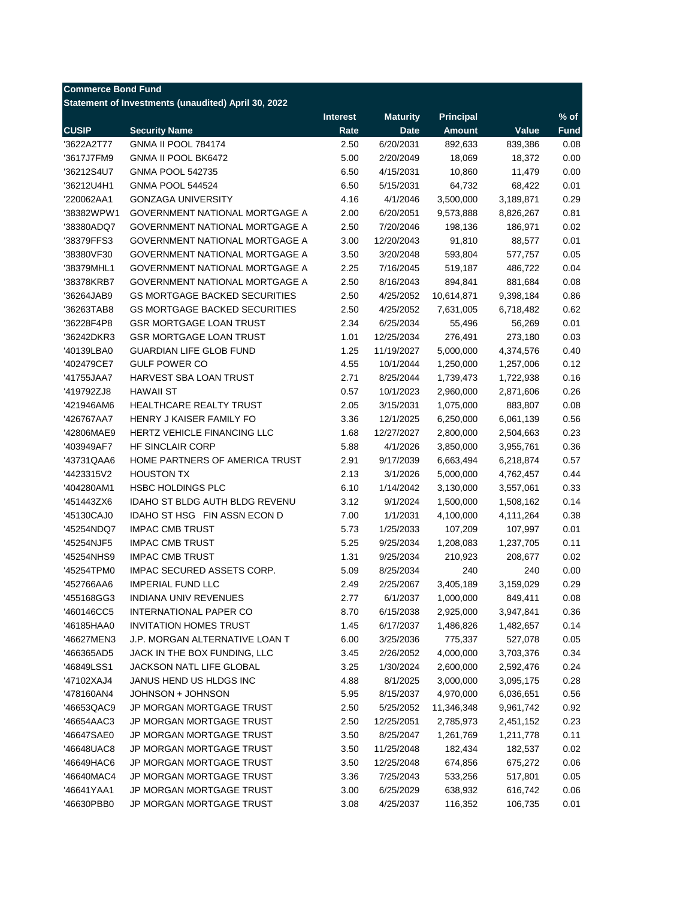| <b>Commerce Bond Fund</b> |                                                     |                 |                 |                  |           |                  |
|---------------------------|-----------------------------------------------------|-----------------|-----------------|------------------|-----------|------------------|
|                           | Statement of Investments (unaudited) April 30, 2022 |                 |                 |                  |           |                  |
|                           |                                                     | <b>Interest</b> | <b>Maturity</b> | <b>Principal</b> |           | $\frac{9}{6}$ of |
| <b>CUSIP</b>              | <b>Security Name</b>                                | Rate            | <b>Date</b>     | <b>Amount</b>    | Value     | <b>Fund</b>      |
| '3622A2T77                | <b>GNMA II POOL 784174</b>                          | 2.50            | 6/20/2031       | 892,633          | 839,386   | 0.08             |
| '3617J7FM9                | <b>GNMA II POOL BK6472</b>                          | 5.00            | 2/20/2049       | 18,069           | 18,372    | 0.00             |
| '36212S4U7                | <b>GNMA POOL 542735</b>                             | 6.50            | 4/15/2031       | 10,860           | 11,479    | 0.00             |
| '36212U4H1                | <b>GNMA POOL 544524</b>                             | 6.50            | 5/15/2031       | 64,732           | 68,422    | 0.01             |
| '220062AA1                | <b>GONZAGA UNIVERSITY</b>                           | 4.16            | 4/1/2046        | 3,500,000        | 3,189,871 | 0.29             |
| '38382WPW1                | GOVERNMENT NATIONAL MORTGAGE A                      | 2.00            | 6/20/2051       | 9,573,888        | 8,826,267 | 0.81             |
| '38380ADQ7                | <b>GOVERNMENT NATIONAL MORTGAGE A</b>               | 2.50            | 7/20/2046       | 198,136          | 186,971   | 0.02             |
| '38379FFS3                | GOVERNMENT NATIONAL MORTGAGE A                      | 3.00            | 12/20/2043      | 91,810           | 88,577    | 0.01             |
| '38380VF30                | GOVERNMENT NATIONAL MORTGAGE A                      | 3.50            | 3/20/2048       | 593,804          | 577,757   | 0.05             |
| '38379MHL1                | GOVERNMENT NATIONAL MORTGAGE A                      | 2.25            | 7/16/2045       | 519,187          | 486,722   | 0.04             |
| '38378KRB7                | GOVERNMENT NATIONAL MORTGAGE A                      | 2.50            | 8/16/2043       | 894,841          | 881,684   | 0.08             |
| '36264JAB9                | <b>GS MORTGAGE BACKED SECURITIES</b>                | 2.50            | 4/25/2052       | 10,614,871       | 9,398,184 | 0.86             |
| '36263TAB8                | <b>GS MORTGAGE BACKED SECURITIES</b>                | 2.50            | 4/25/2052       | 7,631,005        | 6,718,482 | 0.62             |
| '36228F4P8                | <b>GSR MORTGAGE LOAN TRUST</b>                      | 2.34            | 6/25/2034       | 55,496           | 56,269    | 0.01             |
| '36242DKR3                | <b>GSR MORTGAGE LOAN TRUST</b>                      | 1.01            | 12/25/2034      | 276,491          | 273,180   | 0.03             |
| '40139LBA0                | <b>GUARDIAN LIFE GLOB FUND</b>                      | 1.25            | 11/19/2027      | 5,000,000        | 4,374,576 | 0.40             |
| '402479CE7                | <b>GULF POWER CO</b>                                | 4.55            | 10/1/2044       | 1,250,000        | 1,257,006 | 0.12             |
| '41755JAA7                | HARVEST SBA LOAN TRUST                              | 2.71            | 8/25/2044       | 1,739,473        | 1,722,938 | 0.16             |
| '419792ZJ8                | <b>HAWAII ST</b>                                    | 0.57            | 10/1/2023       | 2,960,000        | 2,871,606 | 0.26             |
| '421946AM6                | HEALTHCARE REALTY TRUST                             | 2.05            | 3/15/2031       | 1,075,000        | 883,807   | 0.08             |
| '426767AA7                | HENRY J KAISER FAMILY FO                            | 3.36            | 12/1/2025       | 6,250,000        | 6,061,139 | 0.56             |
| '42806MAE9                | HERTZ VEHICLE FINANCING LLC                         | 1.68            | 12/27/2027      | 2,800,000        | 2,504,663 | 0.23             |
| '403949AF7                | HF SINCLAIR CORP                                    | 5.88            | 4/1/2026        | 3,850,000        | 3,955,761 | 0.36             |
| '43731QAA6                | HOME PARTNERS OF AMERICA TRUST                      | 2.91            | 9/17/2039       | 6,663,494        | 6,218,874 | 0.57             |
| '4423315V2                | <b>HOUSTON TX</b>                                   | 2.13            | 3/1/2026        | 5,000,000        | 4,762,457 | 0.44             |
| '404280AM1                | <b>HSBC HOLDINGS PLC</b>                            | 6.10            | 1/14/2042       | 3,130,000        | 3,557,061 | 0.33             |
| '451443ZX6                | <b>IDAHO ST BLDG AUTH BLDG REVENU</b>               | 3.12            | 9/1/2024        | 1,500,000        | 1,508,162 | 0.14             |
| '45130CAJ0                | IDAHO ST HSG FIN ASSN ECON D                        | 7.00            | 1/1/2031        | 4,100,000        |           | 0.38             |
|                           |                                                     |                 |                 |                  | 4,111,264 |                  |
| '45254NDQ7                | <b>IMPAC CMB TRUST</b>                              | 5.73            | 1/25/2033       | 107,209          | 107,997   | 0.01             |
| '45254NJF5                | <b>IMPAC CMB TRUST</b>                              | 5.25            | 9/25/2034       | 1,208,083        | 1,237,705 | 0.11             |
| '45254NHS9                | <b>IMPAC CMB TRUST</b>                              | 1.31            | 9/25/2034       | 210,923          | 208,677   | 0.02             |
| '45254TPM0                | IMPAC SECURED ASSETS CORP.                          | 5.09            | 8/25/2034       | 240              | 240       | 0.00             |
| '452766AA6                | <b>IMPERIAL FUND LLC</b>                            | 2.49            | 2/25/2067       | 3,405,189        | 3,159,029 | 0.29             |
| '455168GG3                | <b>INDIANA UNIV REVENUES</b>                        | 2.77            | 6/1/2037        | 1,000,000        | 849,411   | 0.08             |
| '460146CC5                | INTERNATIONAL PAPER CO                              | 8.70            | 6/15/2038       | 2,925,000        | 3,947,841 | 0.36             |
| '46185HAA0                | <b>INVITATION HOMES TRUST</b>                       | 1.45            | 6/17/2037       | 1,486,826        | 1,482,657 | 0.14             |
| '46627MEN3                | J.P. MORGAN ALTERNATIVE LOAN T                      | 6.00            | 3/25/2036       | 775,337          | 527,078   | 0.05             |
| '466365AD5                | JACK IN THE BOX FUNDING, LLC                        | 3.45            | 2/26/2052       | 4,000,000        | 3,703,376 | 0.34             |
| '46849LSS1                | JACKSON NATL LIFE GLOBAL                            | 3.25            | 1/30/2024       | 2,600,000        | 2,592,476 | 0.24             |
| '47102XAJ4                | JANUS HEND US HLDGS INC                             | 4.88            | 8/1/2025        | 3,000,000        | 3,095,175 | 0.28             |
| '478160AN4                | JOHNSON + JOHNSON                                   | 5.95            | 8/15/2037       | 4,970,000        | 6,036,651 | 0.56             |
| '46653QAC9                | JP MORGAN MORTGAGE TRUST                            | 2.50            | 5/25/2052       | 11,346,348       | 9,961,742 | 0.92             |
| '46654AAC3                | JP MORGAN MORTGAGE TRUST                            | 2.50            | 12/25/2051      | 2,785,973        | 2,451,152 | 0.23             |
| '46647SAE0                | JP MORGAN MORTGAGE TRUST                            | 3.50            | 8/25/2047       | 1,261,769        | 1,211,778 | 0.11             |
| '46648UAC8                | JP MORGAN MORTGAGE TRUST                            | 3.50            | 11/25/2048      | 182,434          | 182,537   | 0.02             |
| '46649HAC6                | JP MORGAN MORTGAGE TRUST                            | 3.50            | 12/25/2048      | 674,856          | 675,272   | 0.06             |
| '46640MAC4                | JP MORGAN MORTGAGE TRUST                            | 3.36            | 7/25/2043       | 533,256          | 517,801   | 0.05             |
| '46641YAA1                | JP MORGAN MORTGAGE TRUST                            | 3.00            | 6/25/2029       | 638,932          | 616,742   | 0.06             |
| '46630PBB0                | JP MORGAN MORTGAGE TRUST                            | 3.08            | 4/25/2037       | 116,352          | 106,735   | 0.01             |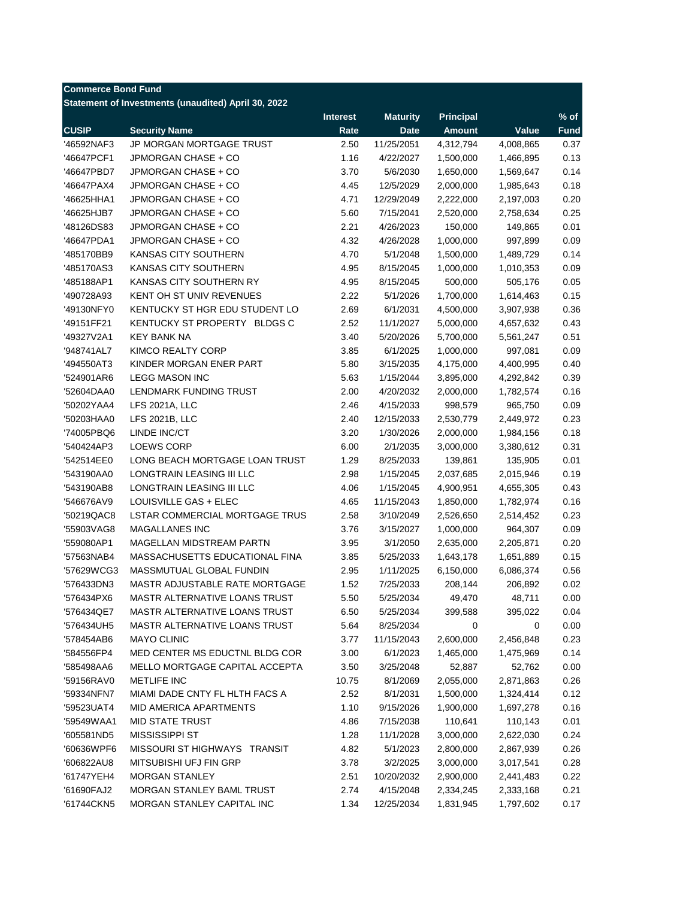| <b>Commerce Bond Fund</b> |                                                     |                 |                        |                  |           |              |
|---------------------------|-----------------------------------------------------|-----------------|------------------------|------------------|-----------|--------------|
|                           | Statement of Investments (unaudited) April 30, 2022 |                 |                        |                  |           |              |
|                           |                                                     | <b>Interest</b> | <b>Maturity</b>        | <b>Principal</b> |           | $%$ of       |
| <b>CUSIP</b>              | <b>Security Name</b>                                | Rate            | <b>Date</b>            | <b>Amount</b>    | Value     | <b>Fund</b>  |
| '46592NAF3                | JP MORGAN MORTGAGE TRUST                            | 2.50            | 11/25/2051             | 4,312,794        | 4,008,865 | 0.37         |
| '46647PCF1                | JPMORGAN CHASE + CO                                 | 1.16            | 4/22/2027              | 1,500,000        | 1,466,895 | 0.13         |
| '46647PBD7                | JPMORGAN CHASE + CO                                 | 3.70            | 5/6/2030               | 1,650,000        | 1,569,647 | 0.14         |
| '46647PAX4                | JPMORGAN CHASE + CO                                 | 4.45            | 12/5/2029              | 2,000,000        | 1,985,643 | 0.18         |
| '46625HHA1                | JPMORGAN CHASE + CO                                 | 4.71            | 12/29/2049             | 2,222,000        | 2,197,003 | 0.20         |
| '46625HJB7                | JPMORGAN CHASE + CO                                 | 5.60            | 7/15/2041              | 2,520,000        | 2,758,634 | 0.25         |
| '48126DS83                | JPMORGAN CHASE + CO                                 | 2.21            | 4/26/2023              | 150,000          | 149,865   | 0.01         |
| '46647PDA1                | JPMORGAN CHASE + CO                                 | 4.32            | 4/26/2028              | 1,000,000        | 997,899   | 0.09         |
| '485170BB9                | KANSAS CITY SOUTHERN                                | 4.70            | 5/1/2048               | 1,500,000        | 1,489,729 | 0.14         |
| '485170AS3                | KANSAS CITY SOUTHERN                                | 4.95            | 8/15/2045              | 1,000,000        | 1,010,353 | 0.09         |
| '485188AP1                | KANSAS CITY SOUTHERN RY                             | 4.95            | 8/15/2045              | 500,000          | 505,176   | 0.05         |
| '490728A93                | KENT OH ST UNIV REVENUES                            | 2.22            | 5/1/2026               | 1,700,000        | 1,614,463 | 0.15         |
| '49130NFY0                | KENTUCKY ST HGR EDU STUDENT LO                      | 2.69            | 6/1/2031               | 4,500,000        | 3,907,938 | 0.36         |
| '49151FF21                | KENTUCKY ST PROPERTY BLDGS C                        | 2.52            | 11/1/2027              | 5,000,000        | 4,657,632 | 0.43         |
| '49327V2A1                | KEY BANK NA                                         | 3.40            | 5/20/2026              | 5,700,000        | 5,561,247 | 0.51         |
| '948741AL7                | KIMCO REALTY CORP                                   | 3.85            | 6/1/2025               | 1,000,000        | 997,081   | 0.09         |
| '494550AT3                | KINDER MORGAN ENER PART                             | 5.80            |                        | 4,175,000        |           | 0.40         |
|                           |                                                     |                 | 3/15/2035              |                  | 4,400,995 |              |
| '524901AR6                | <b>LEGG MASON INC</b>                               | 5.63            | 1/15/2044<br>4/20/2032 | 3,895,000        | 4,292,842 | 0.39<br>0.16 |
| '52604DAA0                | LENDMARK FUNDING TRUST                              | 2.00            |                        | 2,000,000        | 1,782,574 |              |
| '50202YAA4                | <b>LFS 2021A, LLC</b>                               | 2.46            | 4/15/2033              | 998,579          | 965,750   | 0.09         |
| '50203HAA0                | <b>LFS 2021B, LLC</b>                               | 2.40            | 12/15/2033             | 2,530,779        | 2,449,972 | 0.23         |
| '74005PBQ6                | LINDE INC/CT                                        | 3.20            | 1/30/2026              | 2,000,000        | 1,984,156 | 0.18         |
| '540424AP3                | <b>LOEWS CORP</b>                                   | 6.00            | 2/1/2035               | 3,000,000        | 3,380,612 | 0.31         |
| '542514EE0                | LONG BEACH MORTGAGE LOAN TRUST                      | 1.29            | 8/25/2033              | 139,861          | 135,905   | 0.01         |
| '543190AA0                | LONGTRAIN LEASING III LLC                           | 2.98            | 1/15/2045              | 2,037,685        | 2,015,946 | 0.19         |
| '543190AB8                | LONGTRAIN LEASING III LLC                           | 4.06            | 1/15/2045              | 4,900,951        | 4,655,305 | 0.43         |
| '546676AV9                | LOUISVILLE GAS + ELEC                               | 4.65            | 11/15/2043             | 1,850,000        | 1,782,974 | 0.16         |
| '50219QAC8                | LSTAR COMMERCIAL MORTGAGE TRUS                      | 2.58            | 3/10/2049              | 2,526,650        | 2,514,452 | 0.23         |
| '55903VAG8                | <b>MAGALLANES INC</b>                               | 3.76            | 3/15/2027              | 1,000,000        | 964,307   | 0.09         |
| '559080AP1                | MAGELLAN MIDSTREAM PARTN                            | 3.95            | 3/1/2050               | 2,635,000        | 2,205,871 | 0.20         |
| '57563NAB4                | MASSACHUSETTS EDUCATIONAL FINA                      | 3.85            | 5/25/2033              | 1,643,178        | 1,651,889 | 0.15         |
| '57629WCG3                | MASSMUTUAL GLOBAL FUNDIN                            | 2.95            | 1/11/2025              | 6,150,000        | 6,086,374 | 0.56         |
| '576433DN3                | <b>MASTR ADJUSTABLE RATE MORTGAGE</b>               | 1.52            | 7/25/2033              | 208,144          | 206,892   | 0.02         |
| '576434PX6                | MASTR ALTERNATIVE LOANS TRUST                       | 5.50            | 5/25/2034              | 49,470           | 48,711    | 0.00         |
| '576434QE7                | MASTR ALTERNATIVE LOANS TRUST                       | 6.50            | 5/25/2034              | 399,588          | 395,022   | 0.04         |
| '576434UH5                | MASTR ALTERNATIVE LOANS TRUST                       | 5.64            | 8/25/2034              | 0                | 0         | 0.00         |
| '578454AB6                | <b>MAYO CLINIC</b>                                  | 3.77            | 11/15/2043             | 2,600,000        | 2,456,848 | 0.23         |
| '584556FP4                | MED CENTER MS EDUCTNL BLDG COR                      | 3.00            | 6/1/2023               | 1,465,000        | 1,475,969 | 0.14         |
| '585498AA6                | MELLO MORTGAGE CAPITAL ACCEPTA                      | 3.50            | 3/25/2048              | 52,887           | 52,762    | 0.00         |
| '59156RAV0                | <b>METLIFE INC</b>                                  | 10.75           | 8/1/2069               | 2,055,000        | 2,871,863 | 0.26         |
| '59334NFN7                | MIAMI DADE CNTY FL HLTH FACS A                      | 2.52            | 8/1/2031               | 1,500,000        | 1,324,414 | 0.12         |
| '59523UAT4                | MID AMERICA APARTMENTS                              | 1.10            | 9/15/2026              | 1,900,000        | 1,697,278 | 0.16         |
| '59549WAA1                | <b>MID STATE TRUST</b>                              | 4.86            | 7/15/2038              | 110,641          | 110,143   | 0.01         |
| '605581ND5                | <b>MISSISSIPPI ST</b>                               | 1.28            | 11/1/2028              | 3,000,000        | 2,622,030 | 0.24         |
| '60636WPF6                | MISSOURI ST HIGHWAYS TRANSIT                        | 4.82            | 5/1/2023               | 2,800,000        | 2,867,939 | 0.26         |
| '606822AU8                | MITSUBISHI UFJ FIN GRP                              | 3.78            | 3/2/2025               | 3,000,000        | 3,017,541 | 0.28         |
| '61747YEH4                | <b>MORGAN STANLEY</b>                               | 2.51            | 10/20/2032             | 2,900,000        | 2,441,483 | 0.22         |
| '61690FAJ2                | MORGAN STANLEY BAML TRUST                           | 2.74            | 4/15/2048              | 2,334,245        | 2,333,168 | 0.21         |
| '61744CKN5                | MORGAN STANLEY CAPITAL INC                          | 1.34            | 12/25/2034             | 1,831,945        | 1,797,602 | 0.17         |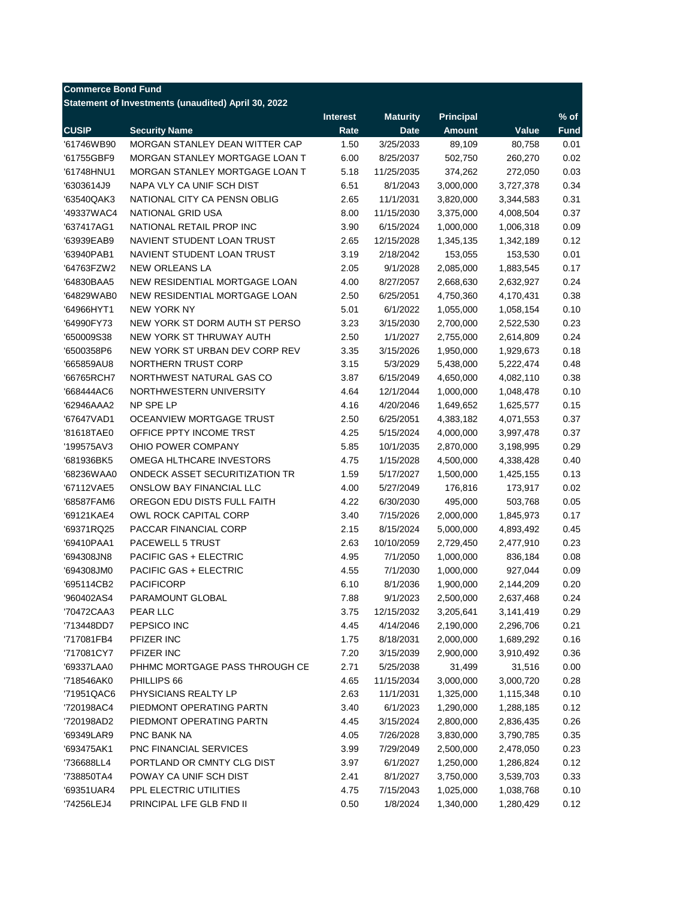| <b>Commerce Bond Fund</b> | Statement of Investments (unaudited) April 30, 2022   |                 |                 |                  |           |             |
|---------------------------|-------------------------------------------------------|-----------------|-----------------|------------------|-----------|-------------|
|                           |                                                       | <b>Interest</b> | <b>Maturity</b> | <b>Principal</b> |           | $%$ of      |
| <b>CUSIP</b>              | <b>Security Name</b>                                  | Rate            | <b>Date</b>     | <b>Amount</b>    | Value     | <b>Fund</b> |
| '61746WB90                | MORGAN STANLEY DEAN WITTER CAP                        | 1.50            | 3/25/2033       | 89,109           | 80,758    | 0.01        |
| '61755GBF9                | MORGAN STANLEY MORTGAGE LOAN T                        | 6.00            | 8/25/2037       | 502,750          | 260,270   | 0.02        |
| '61748HNU1                | MORGAN STANLEY MORTGAGE LOAN T                        | 5.18            | 11/25/2035      | 374,262          | 272,050   | 0.03        |
| '6303614J9                | NAPA VLY CA UNIF SCH DIST                             | 6.51            | 8/1/2043        | 3,000,000        | 3,727,378 | 0.34        |
| '63540QAK3                | NATIONAL CITY CA PENSN OBLIG                          | 2.65            | 11/1/2031       | 3,820,000        | 3,344,583 | 0.31        |
| '49337WAC4                | NATIONAL GRID USA                                     | 8.00            | 11/15/2030      | 3,375,000        | 4,008,504 | 0.37        |
| '637417AG1                | NATIONAL RETAIL PROP INC                              | 3.90            | 6/15/2024       | 1,000,000        | 1,006,318 | 0.09        |
| '63939EAB9                | NAVIENT STUDENT LOAN TRUST                            | 2.65            | 12/15/2028      | 1,345,135        | 1,342,189 | 0.12        |
| '63940PAB1                | NAVIENT STUDENT LOAN TRUST                            | 3.19            | 2/18/2042       | 153,055          | 153,530   | 0.01        |
| '64763FZW2                | NEW ORLEANS LA                                        | 2.05            | 9/1/2028        | 2,085,000        | 1,883,545 | 0.17        |
|                           | NEW RESIDENTIAL MORTGAGE LOAN                         | 4.00            |                 |                  |           | 0.24        |
| '64830BAA5                | NEW RESIDENTIAL MORTGAGE LOAN                         |                 | 8/27/2057       | 2,668,630        | 2,632,927 |             |
| '64829WAB0                |                                                       | 2.50            | 6/25/2051       | 4,750,360        | 4,170,431 | 0.38        |
| '64966HYT1                | <b>NEW YORK NY</b>                                    | 5.01            | 6/1/2022        | 1,055,000        | 1,058,154 | 0.10        |
| '64990FY73                | NEW YORK ST DORM AUTH ST PERSO                        | 3.23            | 3/15/2030       | 2,700,000        | 2,522,530 | 0.23        |
| '650009S38                | NEW YORK ST THRUWAY AUTH                              | 2.50            | 1/1/2027        | 2,755,000        | 2,614,809 | 0.24        |
| '6500358P6                | NEW YORK ST URBAN DEV CORP REV<br>NORTHERN TRUST CORP | 3.35            | 3/15/2026       | 1,950,000        | 1,929,673 | 0.18        |
| '665859AU8                |                                                       | 3.15            | 5/3/2029        | 5,438,000        | 5,222,474 | 0.48        |
| '66765RCH7                | NORTHWEST NATURAL GAS CO                              | 3.87            | 6/15/2049       | 4,650,000        | 4,082,110 | 0.38        |
| '668444AC6                | NORTHWESTERN UNIVERSITY                               | 4.64            | 12/1/2044       | 1,000,000        | 1,048,478 | 0.10        |
| '62946AAA2                | NP SPE LP                                             | 4.16            | 4/20/2046       | 1,649,652        | 1,625,577 | 0.15        |
| '67647VAD1                | OCEANVIEW MORTGAGE TRUST                              | 2.50            | 6/25/2051       | 4,383,182        | 4,071,553 | 0.37        |
| '81618TAE0                | OFFICE PPTY INCOME TRST                               | 4.25            | 5/15/2024       | 4,000,000        | 3,997,478 | 0.37        |
| '199575AV3                | OHIO POWER COMPANY                                    | 5.85            | 10/1/2035       | 2,870,000        | 3,198,995 | 0.29        |
| '681936BK5                | OMEGA HLTHCARE INVESTORS                              | 4.75            | 1/15/2028       | 4,500,000        | 4,338,428 | 0.40        |
| '68236WAA0                | ONDECK ASSET SECURITIZATION TR                        | 1.59            | 5/17/2027       | 1,500,000        | 1,425,155 | 0.13        |
| '67112VAE5                | ONSLOW BAY FINANCIAL LLC                              | 4.00            | 5/27/2049       | 176,816          | 173,917   | 0.02        |
| '68587FAM6                | OREGON EDU DISTS FULL FAITH                           | 4.22            | 6/30/2030       | 495,000          | 503,768   | 0.05        |
| '69121KAE4                | OWL ROCK CAPITAL CORP                                 | 3.40            | 7/15/2026       | 2,000,000        | 1,845,973 | 0.17        |
| '69371RQ25                | PACCAR FINANCIAL CORP                                 | 2.15            | 8/15/2024       | 5,000,000        | 4,893,492 | 0.45        |
| '69410PAA1                | <b>PACEWELL 5 TRUST</b>                               | 2.63            | 10/10/2059      | 2,729,450        | 2,477,910 | 0.23        |
| '694308JN8                | <b>PACIFIC GAS + ELECTRIC</b>                         | 4.95            | 7/1/2050        | 1,000,000        | 836,184   | 0.08        |
| '694308JM0                | <b>PACIFIC GAS + ELECTRIC</b>                         | 4.55            | 7/1/2030        | 1,000,000        | 927,044   | 0.09        |
| '695114CB2                | <b>PACIFICORP</b>                                     | 6.10            | 8/1/2036        | 1,900,000        | 2,144,209 | 0.20        |
| '960402AS4                | PARAMOUNT GLOBAL                                      | 7.88            | 9/1/2023        | 2,500,000        | 2,637,468 | 0.24        |
| '70472CAA3                | PEAR LLC                                              | 3.75            | 12/15/2032      | 3,205,641        | 3,141,419 | 0.29        |
| '713448DD7                | PEPSICO INC                                           | 4.45            | 4/14/2046       | 2,190,000        | 2,296,706 | 0.21        |
| '717081FB4                | PFIZER INC                                            | 1.75            | 8/18/2031       | 2,000,000        | 1,689,292 | 0.16        |
| '717081CY7                | PFIZER INC                                            | 7.20            | 3/15/2039       | 2,900,000        | 3,910,492 | 0.36        |
| '69337LAA0                | PHHMC MORTGAGE PASS THROUGH CE                        | 2.71            | 5/25/2038       | 31,499           | 31,516    | 0.00        |
| '718546AK0                | PHILLIPS 66                                           | 4.65            | 11/15/2034      | 3,000,000        | 3,000,720 | 0.28        |
| '71951QAC6                | PHYSICIANS REALTY LP                                  | 2.63            | 11/1/2031       | 1,325,000        | 1,115,348 | 0.10        |
| '720198AC4                | PIEDMONT OPERATING PARTN                              | 3.40            | 6/1/2023        | 1,290,000        | 1,288,185 | 0.12        |
| '720198AD2                | PIEDMONT OPERATING PARTN                              | 4.45            | 3/15/2024       | 2,800,000        | 2,836,435 | 0.26        |
| '69349LAR9                | PNC BANK NA                                           | 4.05            | 7/26/2028       | 3,830,000        | 3,790,785 | 0.35        |
| '693475AK1                | PNC FINANCIAL SERVICES                                | 3.99            | 7/29/2049       | 2,500,000        | 2,478,050 | 0.23        |
| '736688LL4                | PORTLAND OR CMNTY CLG DIST                            | 3.97            | 6/1/2027        | 1,250,000        | 1,286,824 | 0.12        |
| '738850TA4                | POWAY CA UNIF SCH DIST                                | 2.41            | 8/1/2027        | 3,750,000        | 3,539,703 | 0.33        |
| '69351UAR4                | PPL ELECTRIC UTILITIES                                | 4.75            | 7/15/2043       | 1,025,000        | 1,038,768 | 0.10        |
| '74256LEJ4                | PRINCIPAL LFE GLB FND II                              | 0.50            | 1/8/2024        | 1,340,000        | 1,280,429 | 0.12        |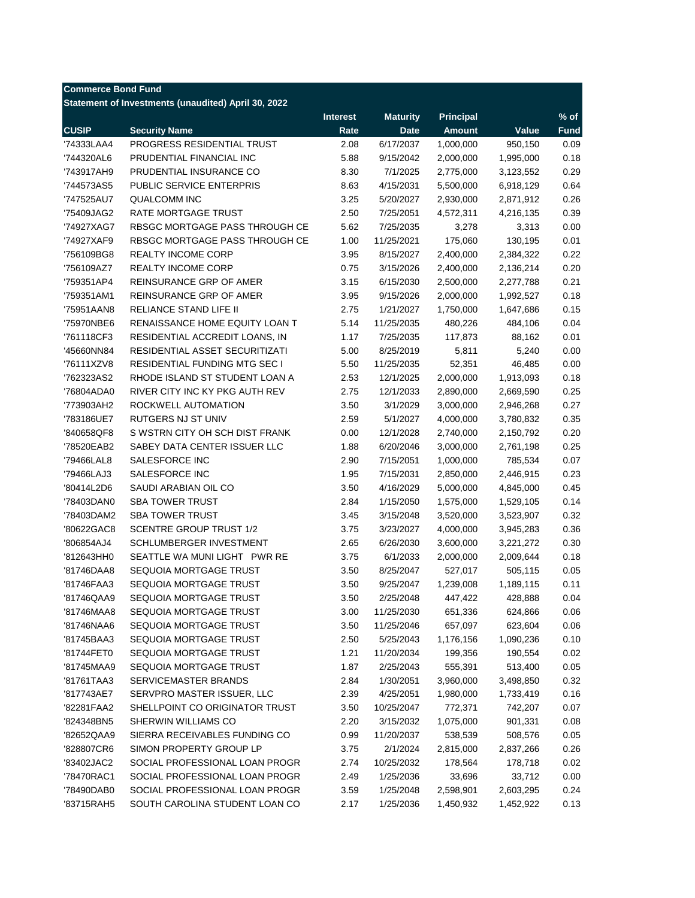| <b>Commerce Bond Fund</b> |                                                     |                 |                 |                  |           |             |
|---------------------------|-----------------------------------------------------|-----------------|-----------------|------------------|-----------|-------------|
|                           | Statement of Investments (unaudited) April 30, 2022 |                 |                 |                  |           |             |
|                           |                                                     | <b>Interest</b> | <b>Maturity</b> | <b>Principal</b> |           | $%$ of      |
| <b>CUSIP</b>              | <b>Security Name</b>                                | Rate            | <b>Date</b>     | <b>Amount</b>    | Value     | <b>Fund</b> |
| '74333LAA4                | PROGRESS RESIDENTIAL TRUST                          | 2.08            | 6/17/2037       | 1,000,000        | 950,150   | 0.09        |
| '744320AL6                | PRUDENTIAL FINANCIAL INC                            | 5.88            | 9/15/2042       | 2,000,000        | 1,995,000 | 0.18        |
| '743917AH9                | PRUDENTIAL INSURANCE CO                             | 8.30            | 7/1/2025        | 2,775,000        | 3,123,552 | 0.29        |
| '744573AS5                | PUBLIC SERVICE ENTERPRIS                            | 8.63            | 4/15/2031       | 5,500,000        | 6,918,129 | 0.64        |
| '747525AU7                | <b>QUALCOMM INC</b>                                 | 3.25            | 5/20/2027       | 2,930,000        | 2,871,912 | 0.26        |
| '75409JAG2                | <b>RATE MORTGAGE TRUST</b>                          | 2.50            | 7/25/2051       | 4,572,311        | 4,216,135 | 0.39        |
| '74927XAG7                | RBSGC MORTGAGE PASS THROUGH CE                      | 5.62            | 7/25/2035       | 3,278            | 3,313     | 0.00        |
| '74927XAF9                | RBSGC MORTGAGE PASS THROUGH CE                      | 1.00            | 11/25/2021      | 175,060          | 130,195   | 0.01        |
| '756109BG8                | <b>REALTY INCOME CORP</b>                           | 3.95            | 8/15/2027       | 2,400,000        | 2,384,322 | 0.22        |
| '756109AZ7                | <b>REALTY INCOME CORP</b>                           | 0.75            | 3/15/2026       | 2,400,000        | 2,136,214 | 0.20        |
| '759351AP4                | REINSURANCE GRP OF AMER                             | 3.15            | 6/15/2030       | 2,500,000        | 2,277,788 | 0.21        |
| '759351AM1                | REINSURANCE GRP OF AMER                             | 3.95            | 9/15/2026       | 2,000,000        | 1,992,527 | 0.18        |
| '75951AAN8                | RELIANCE STAND LIFE II                              | 2.75            | 1/21/2027       | 1,750,000        | 1,647,686 | 0.15        |
| '75970NBE6                | RENAISSANCE HOME EQUITY LOAN T                      | 5.14            | 11/25/2035      | 480,226          | 484,106   | 0.04        |
| '761118CF3                | RESIDENTIAL ACCREDIT LOANS, IN                      | 1.17            | 7/25/2035       | 117,873          | 88,162    | 0.01        |
| '45660NN84                | RESIDENTIAL ASSET SECURITIZATI                      | 5.00            | 8/25/2019       | 5,811            | 5,240     | 0.00        |
| '76111XZV8                | <b>RESIDENTIAL FUNDING MTG SEC I</b>                | 5.50            | 11/25/2035      | 52,351           | 46,485    | 0.00        |
| '762323AS2                | RHODE ISLAND ST STUDENT LOAN A                      | 2.53            | 12/1/2025       | 2,000,000        | 1,913,093 | 0.18        |
| '76804ADA0                | RIVER CITY INC KY PKG AUTH REV                      | 2.75            | 12/1/2033       | 2,890,000        | 2,669,590 | 0.25        |
| '773903AH2                | ROCKWELL AUTOMATION                                 | 3.50            | 3/1/2029        | 3,000,000        | 2,946,268 | 0.27        |
|                           | RUTGERS NJ ST UNIV                                  | 2.59            |                 |                  |           | 0.35        |
| '783186UE7                | S WSTRN CITY OH SCH DIST FRANK                      | 0.00            | 5/1/2027        | 4,000,000        | 3,780,832 | 0.20        |
| '840658QF8                |                                                     |                 | 12/1/2028       | 2,740,000        | 2,150,792 |             |
| '78520EAB2                | SABEY DATA CENTER ISSUER LLC                        | 1.88            | 6/20/2046       | 3,000,000        | 2,761,198 | 0.25        |
| '79466LAL8                | SALESFORCE INC                                      | 2.90            | 7/15/2051       | 1,000,000        | 785,534   | 0.07        |
| '79466LAJ3                | SALESFORCE INC                                      | 1.95            | 7/15/2031       | 2,850,000        | 2,446,915 | 0.23        |
| '80414L2D6                | SAUDI ARABIAN OIL CO                                | 3.50            | 4/16/2029       | 5,000,000        | 4,845,000 | 0.45        |
| '78403DAN0                | <b>SBA TOWER TRUST</b>                              | 2.84            | 1/15/2050       | 1,575,000        | 1,529,105 | 0.14        |
| '78403DAM2                | <b>SBA TOWER TRUST</b>                              | 3.45            | 3/15/2048       | 3,520,000        | 3,523,907 | 0.32        |
| '80622GAC8                | <b>SCENTRE GROUP TRUST 1/2</b>                      | 3.75            | 3/23/2027       | 4,000,000        | 3,945,283 | 0.36        |
| '806854AJ4                | SCHLUMBERGER INVESTMENT                             | 2.65            | 6/26/2030       | 3,600,000        | 3,221,272 | 0.30        |
| '812643HH0                | SEATTLE WA MUNI LIGHT PWR RE                        | 3.75            | 6/1/2033        | 2,000,000        | 2,009,644 | 0.18        |
| '81746DAA8                | SEQUOIA MORTGAGE TRUST                              | 3.50            | 8/25/2047       | 527,017          | 505,115   | 0.05        |
| '81746FAA3                | SEQUOIA MORTGAGE TRUST                              | 3.50            | 9/25/2047       | 1,239,008        | 1,189,115 | 0.11        |
| '81746QAA9                | SEQUOIA MORTGAGE TRUST                              | 3.50            | 2/25/2048       | 447,422          | 428,888   | 0.04        |
| '81746MAA8                | SEQUOIA MORTGAGE TRUST                              | 3.00            | 11/25/2030      | 651,336          | 624,866   | 0.06        |
| '81746NAA6                | SEQUOIA MORTGAGE TRUST                              | 3.50            | 11/25/2046      | 657,097          | 623,604   | 0.06        |
| '81745BAA3                | SEQUOIA MORTGAGE TRUST                              | 2.50            | 5/25/2043       | 1,176,156        | 1,090,236 | 0.10        |
| '81744FET0                | SEQUOIA MORTGAGE TRUST                              | 1.21            | 11/20/2034      | 199,356          | 190,554   | 0.02        |
| '81745MAA9                | SEQUOIA MORTGAGE TRUST                              | 1.87            | 2/25/2043       | 555,391          | 513,400   | 0.05        |
| '81761TAA3                | SERVICEMASTER BRANDS                                | 2.84            | 1/30/2051       | 3,960,000        | 3,498,850 | 0.32        |
| '817743AE7                | SERVPRO MASTER ISSUER, LLC                          | 2.39            | 4/25/2051       | 1,980,000        | 1,733,419 | 0.16        |
| '82281FAA2                | SHELLPOINT CO ORIGINATOR TRUST                      | 3.50            | 10/25/2047      | 772,371          | 742,207   | 0.07        |
| '824348BN5                | SHERWIN WILLIAMS CO                                 | 2.20            | 3/15/2032       | 1,075,000        | 901,331   | 0.08        |
| '82652QAA9                | SIERRA RECEIVABLES FUNDING CO                       | 0.99            | 11/20/2037      | 538,539          | 508,576   | 0.05        |
| '828807CR6                | SIMON PROPERTY GROUP LP                             | 3.75            | 2/1/2024        | 2,815,000        | 2,837,266 | 0.26        |
| '83402JAC2                | SOCIAL PROFESSIONAL LOAN PROGR                      | 2.74            | 10/25/2032      | 178,564          | 178,718   | 0.02        |
| '78470RAC1                | SOCIAL PROFESSIONAL LOAN PROGR                      | 2.49            | 1/25/2036       | 33,696           | 33,712    | 0.00        |
| '78490DAB0                | SOCIAL PROFESSIONAL LOAN PROGR                      | 3.59            | 1/25/2048       | 2,598,901        | 2,603,295 | 0.24        |
| '83715RAH5                | SOUTH CAROLINA STUDENT LOAN CO                      | 2.17            | 1/25/2036       | 1,450,932        | 1,452,922 | 0.13        |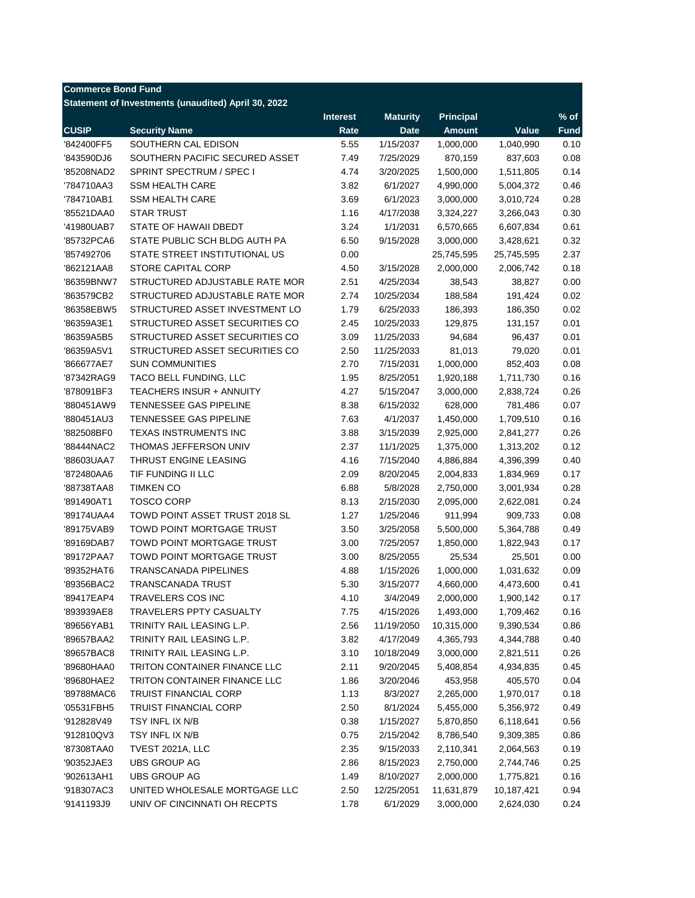| <b>Commerce Bond Fund</b> |                                                     |                 |                        |                  |            |             |
|---------------------------|-----------------------------------------------------|-----------------|------------------------|------------------|------------|-------------|
|                           | Statement of Investments (unaudited) April 30, 2022 |                 |                        |                  |            |             |
|                           |                                                     | <b>Interest</b> | <b>Maturity</b>        | <b>Principal</b> |            | $%$ of      |
| <b>CUSIP</b>              | <b>Security Name</b>                                | Rate            | <b>Date</b>            | <b>Amount</b>    | Value      | <b>Fund</b> |
| '842400FF5                | SOUTHERN CAL EDISON                                 | 5.55            | 1/15/2037              | 1,000,000        | 1,040,990  | 0.10        |
| '843590DJ6                | SOUTHERN PACIFIC SECURED ASSET                      | 7.49            | 7/25/2029              | 870,159          | 837,603    | 0.08        |
| '85208NAD2                | SPRINT SPECTRUM / SPEC I                            | 4.74            | 3/20/2025              | 1,500,000        | 1,511,805  | 0.14        |
| '784710AA3                | <b>SSM HEALTH CARE</b>                              | 3.82            | 6/1/2027               | 4,990,000        | 5,004,372  | 0.46        |
| '784710AB1                | <b>SSM HEALTH CARE</b>                              | 3.69            | 6/1/2023               | 3,000,000        | 3,010,724  | 0.28        |
| '85521DAA0                | <b>STAR TRUST</b>                                   | 1.16            | 4/17/2038              | 3,324,227        | 3,266,043  | 0.30        |
| '41980UAB7                | STATE OF HAWAII DBEDT                               | 3.24            | 1/1/2031               | 6,570,665        | 6,607,834  | 0.61        |
| '85732PCA6                | STATE PUBLIC SCH BLDG AUTH PA                       | 6.50            | 9/15/2028              | 3,000,000        | 3,428,621  | 0.32        |
| '857492706                | STATE STREET INSTITUTIONAL US                       | 0.00            |                        | 25,745,595       | 25,745,595 | 2.37        |
| '862121AA8                | STORE CAPITAL CORP                                  | 4.50            | 3/15/2028              | 2,000,000        | 2,006,742  | 0.18        |
| '86359BNW7                | STRUCTURED ADJUSTABLE RATE MOR                      | 2.51            | 4/25/2034              | 38,543           | 38,827     | 0.00        |
| '863579CB2                | STRUCTURED ADJUSTABLE RATE MOR                      | 2.74            | 10/25/2034             | 188,584          | 191,424    | 0.02        |
| '86358EBW5                | STRUCTURED ASSET INVESTMENT LO                      | 1.79            | 6/25/2033              | 186,393          | 186,350    | 0.02        |
| '86359A3E1                | STRUCTURED ASSET SECURITIES CO                      | 2.45            | 10/25/2033             | 129,875          | 131,157    | 0.01        |
| '86359A5B5                | STRUCTURED ASSET SECURITIES CO                      | 3.09            | 11/25/2033             | 94,684           | 96,437     | 0.01        |
| '86359A5V1                | STRUCTURED ASSET SECURITIES CO                      | 2.50            | 11/25/2033             | 81,013           | 79,020     | 0.01        |
| '866677AE7                | <b>SUN COMMUNITIES</b>                              | 2.70            | 7/15/2031              | 1,000,000        | 852,403    | 0.08        |
| '87342RAG9                | TACO BELL FUNDING, LLC                              | 1.95            |                        | 1,920,188        |            | 0.16        |
| '878091BF3                | <b>TEACHERS INSUR + ANNUITY</b>                     | 4.27            | 8/25/2051<br>5/15/2047 |                  | 1,711,730  | 0.26        |
|                           | TENNESSEE GAS PIPELINE                              | 8.38            |                        | 3,000,000        | 2,838,724  | 0.07        |
| '880451AW9                |                                                     |                 | 6/15/2032              | 628,000          | 781,486    |             |
| '880451AU3                | TENNESSEE GAS PIPELINE                              | 7.63            | 4/1/2037               | 1,450,000        | 1,709,510  | 0.16        |
| '882508BF0                | <b>TEXAS INSTRUMENTS INC</b>                        | 3.88            | 3/15/2039              | 2,925,000        | 2,841,277  | 0.26        |
| '88444NAC2                | THOMAS JEFFERSON UNIV                               | 2.37            | 11/1/2025              | 1,375,000        | 1,313,202  | 0.12        |
| '88603UAA7                | THRUST ENGINE LEASING                               | 4.16            | 7/15/2040              | 4,886,884        | 4,396,399  | 0.40        |
| '872480AA6                | TIF FUNDING II LLC                                  | 2.09            | 8/20/2045              | 2,004,833        | 1,834,969  | 0.17        |
| '88738TAA8                | <b>TIMKEN CO</b>                                    | 6.88            | 5/8/2028               | 2,750,000        | 3,001,934  | 0.28        |
| '891490AT1                | <b>TOSCO CORP</b>                                   | 8.13            | 2/15/2030              | 2,095,000        | 2,622,081  | 0.24        |
| '89174UAA4                | TOWD POINT ASSET TRUST 2018 SL                      | 1.27            | 1/25/2046              | 911,994          | 909,733    | 0.08        |
| '89175VAB9                | TOWD POINT MORTGAGE TRUST                           | 3.50            | 3/25/2058              | 5,500,000        | 5,364,788  | 0.49        |
| '89169DAB7                | TOWD POINT MORTGAGE TRUST                           | 3.00            | 7/25/2057              | 1,850,000        | 1,822,943  | 0.17        |
| '89172PAA7                | TOWD POINT MORTGAGE TRUST                           | 3.00            | 8/25/2055              | 25,534           | 25,501     | 0.00        |
| '89352HAT6                | <b>TRANSCANADA PIPELINES</b>                        | 4.88            | 1/15/2026              | 1,000,000        | 1,031,632  | 0.09        |
| '89356BAC2                | TRANSCANADA TRUST                                   | 5.30            | 3/15/2077              | 4,660,000        | 4,473,600  | 0.41        |
| '89417EAP4                | TRAVELERS COS INC                                   | 4.10            | 3/4/2049               | 2,000,000        | 1,900,142  | 0.17        |
| '893939AE8                | TRAVELERS PPTY CASUALTY                             | 7.75            | 4/15/2026              | 1,493,000        | 1,709,462  | 0.16        |
| '89656YAB1                | TRINITY RAIL LEASING L.P.                           | 2.56            | 11/19/2050             | 10,315,000       | 9,390,534  | 0.86        |
| '89657BAA2                | TRINITY RAIL LEASING L.P.                           | 3.82            | 4/17/2049              | 4,365,793        | 4,344,788  | 0.40        |
| '89657BAC8                | TRINITY RAIL LEASING L.P.                           | 3.10            | 10/18/2049             | 3,000,000        | 2,821,511  | 0.26        |
| '89680HAA0                | TRITON CONTAINER FINANCE LLC                        | 2.11            | 9/20/2045              | 5,408,854        | 4,934,835  | 0.45        |
| '89680HAE2                | TRITON CONTAINER FINANCE LLC                        | 1.86            | 3/20/2046              | 453,958          | 405,570    | 0.04        |
| '89788MAC6                | <b>TRUIST FINANCIAL CORP</b>                        | 1.13            | 8/3/2027               | 2,265,000        | 1,970,017  | 0.18        |
| '05531FBH5                | <b>TRUIST FINANCIAL CORP</b>                        | 2.50            | 8/1/2024               | 5,455,000        | 5,356,972  | 0.49        |
| '912828V49                | TSY INFL IX N/B                                     | 0.38            | 1/15/2027              | 5,870,850        | 6,118,641  | 0.56        |
| '912810QV3                | TSY INFL IX N/B                                     | 0.75            | 2/15/2042              | 8,786,540        | 9,309,385  | 0.86        |
| '87308TAA0                | TVEST 2021A, LLC                                    | 2.35            | 9/15/2033              | 2,110,341        | 2,064,563  | 0.19        |
| '90352JAE3                | <b>UBS GROUP AG</b>                                 | 2.86            | 8/15/2023              | 2,750,000        | 2,744,746  | 0.25        |
| '902613AH1                | <b>UBS GROUP AG</b>                                 | 1.49            | 8/10/2027              | 2,000,000        | 1,775,821  | 0.16        |
| '918307AC3                | UNITED WHOLESALE MORTGAGE LLC                       | 2.50            | 12/25/2051             | 11,631,879       | 10,187,421 | 0.94        |
| '9141193J9                | UNIV OF CINCINNATI OH RECPTS                        | 1.78            | 6/1/2029               | 3,000,000        | 2,624,030  | 0.24        |